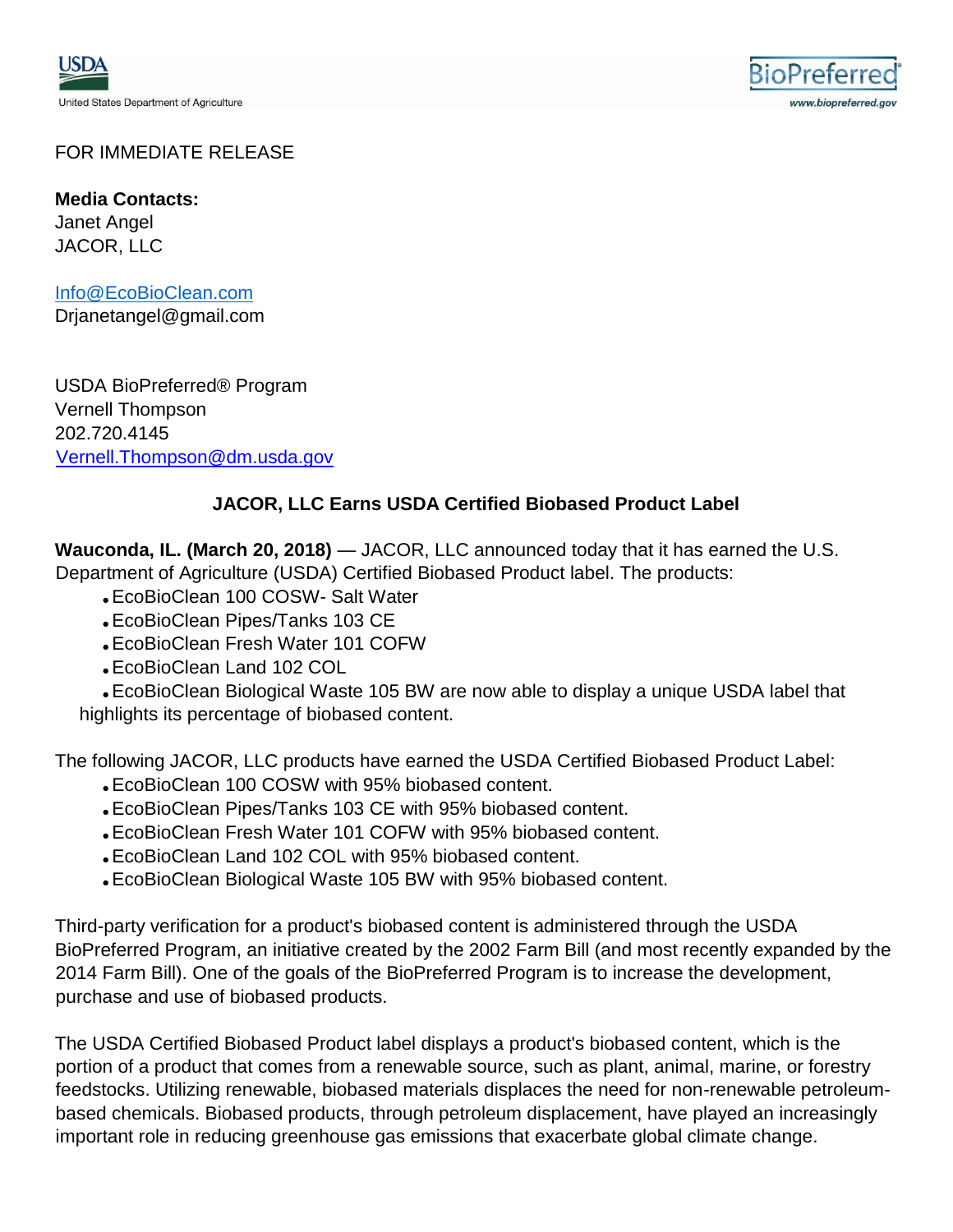FOR IMMEDIATE RELEASE

**Media Contacts:** Janet Angel JACOR, LLC

[Info@EcoBioClean.com](mailto:Info@EcoBioClean.com)

Drjanetangel@gmail.com

USDA BioPreferred® Program Vernell Thompson 202.720.4145 Vernell.Thompson@dm.usda.gov

## **JACOR, LLC Earns USDA Certified Biobased Product Label**

**Wauconda, IL. (March 20, 2018)** — JACOR, LLC announced today that it has earned the U.S. Department of Agriculture (USDA) Certified Biobased Product label. The products:

- EcoBioClean 100 COSW- Salt Water
- EcoBioClean Pipes/Tanks 103 CE
- EcoBioClean Fresh Water 101 COFW
- EcoBioClean Land 102 COL

• EcoBioClean Biological Waste 105 BW are now able to display a unique USDA label that highlights its percentage of biobased content.

The following JACOR, LLC products have earned the USDA Certified Biobased Product Label:

- EcoBioClean 100 COSW with 95% biobased content.
- EcoBioClean Pipes/Tanks 103 CE with 95% biobased content.
- EcoBioClean Fresh Water 101 COFW with 95% biobased content.
- EcoBioClean Land 102 COL with 95% biobased content.
- EcoBioClean Biological Waste 105 BW with 95% biobased content.

Third-party verification for a product's biobased content is administered through the USDA BioPreferred Program, an initiative created by the 2002 Farm Bill (and most recently expanded by the 2014 Farm Bill). One of the goals of the BioPreferred Program is to increase the development, purchase and use of biobased products.

The USDA Certified Biobased Product label displays a product's biobased content, which is the portion of a product that comes from a renewable source, such as plant, animal, marine, or forestry feedstocks. Utilizing renewable, biobased materials displaces the need for non-renewable petroleumbased chemicals. Biobased products, through petroleum displacement, have played an increasingly important role in reducing greenhouse gas emissions that exacerbate global climate change.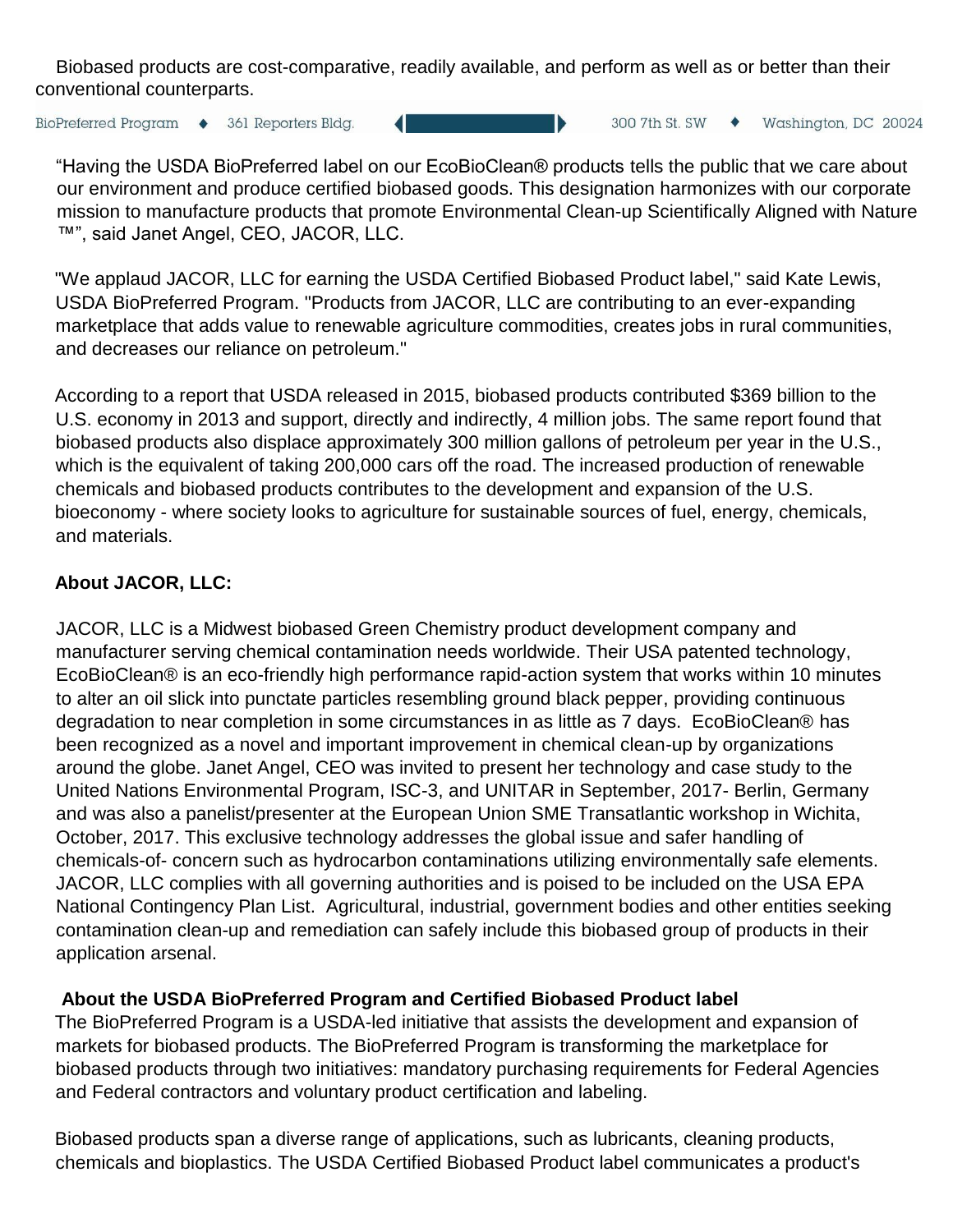Biobased products are cost-comparative, readily available, and perform as well as or better than their conventional counterparts.

41

BioPreferred Program • 361 Reporters Bldg.

300 7th St. SW ◆ Washington, DC 20024

"Having the USDA BioPreferred label on our EcoBioClean® products tells the public that we care about our environment and produce certified biobased goods. This designation harmonizes with our corporate mission to manufacture products that promote Environmental Clean-up Scientifically Aligned with Nature ™", said Janet Angel, CEO, JACOR, LLC.

"We applaud JACOR, LLC for earning the USDA Certified Biobased Product label," said Kate Lewis, USDA BioPreferred Program. "Products from JACOR, LLC are contributing to an ever-expanding marketplace that adds value to renewable agriculture commodities, creates jobs in rural communities, and decreases our reliance on petroleum."

According to a report that USDA released in 2015, biobased products contributed \$369 billion to the U.S. economy in 2013 and support, directly and indirectly, 4 million jobs. The same report found that biobased products also displace approximately 300 million gallons of petroleum per year in the U.S., which is the equivalent of taking 200,000 cars off the road. The increased production of renewable chemicals and biobased products contributes to the development and expansion of the U.S. bioeconomy - where society looks to agriculture for sustainable sources of fuel, energy, chemicals, and materials.

## **About JACOR, LLC:**

JACOR, LLC is a Midwest biobased Green Chemistry product development company and manufacturer serving chemical contamination needs worldwide. Their USA patented technology, EcoBioClean® is an eco-friendly high performance rapid-action system that works within 10 minutes to alter an oil slick into punctate particles resembling ground black pepper, providing continuous degradation to near completion in some circumstances in as little as 7 days. EcoBioClean® has been recognized as a novel and important improvement in chemical clean-up by organizations around the globe. Janet Angel, CEO was invited to present her technology and case study to the United Nations Environmental Program, ISC-3, and UNITAR in September, 2017- Berlin, Germany and was also a panelist/presenter at the European Union SME Transatlantic workshop in Wichita, October, 2017. This exclusive technology addresses the global issue and safer handling of chemicals-of- concern such as hydrocarbon contaminations utilizing environmentally safe elements. JACOR, LLC complies with all governing authorities and is poised to be included on the USA EPA National Contingency Plan List. Agricultural, industrial, government bodies and other entities seeking contamination clean-up and remediation can safely include this biobased group of products in their application arsenal.

## **About the USDA BioPreferred Program and Certified Biobased Product label**

The BioPreferred Program is a USDA-led initiative that assists the development and expansion of markets for biobased products. The BioPreferred Program is transforming the marketplace for biobased products through two initiatives: mandatory purchasing requirements for Federal Agencies and Federal contractors and voluntary product certification and labeling.

Biobased products span a diverse range of applications, such as lubricants, cleaning products, chemicals and bioplastics. The USDA Certified Biobased Product label communicates a product's